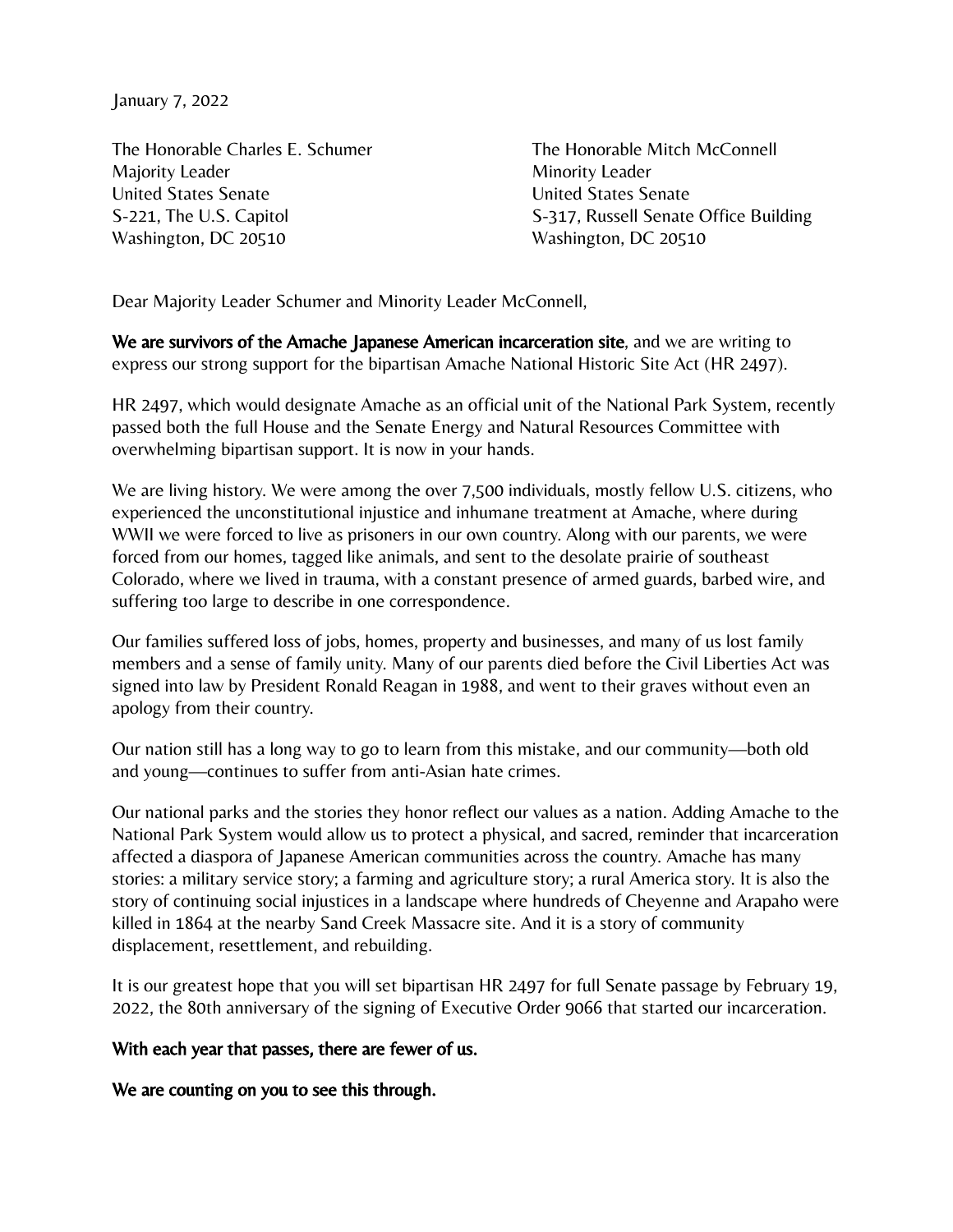January 7, 2022

The Honorable Charles E. Schumer The Honorable Mitch McConnell Majority Leader **Minority Leader** Minority Leader United States Senate United States Senate Washington, DC 20510 Washington, DC 20510

S-221. The U.S. Capitol Senate Office Building

Dear Majority Leader Schumer and Minority Leader McConnell,

We are survivors of the Amache Japanese American incarceration site, and we are writing to express our strong support for the bipartisan Amache National Historic Site Act (HR 2497).

HR 2497, which would designate Amache as an official unit of the National Park System, recently passed both the full House and the Senate Energy and Natural Resources Committee with overwhelming bipartisan support. It is now in your hands.

We are living history. We were among the over 7,500 individuals, mostly fellow U.S. citizens, who experienced the unconstitutional injustice and inhumane treatment at Amache, where during WWII we were forced to live as prisoners in our own country. Along with our parents, we were forced from our homes, tagged like animals, and sent to the desolate prairie of southeast Colorado, where we lived in trauma, with a constant presence of armed guards, barbed wire, and suffering too large to describe in one correspondence.

Our families suffered loss of jobs, homes, property and businesses, and many of us lost family members and a sense of family unity. Many of our parents died before the Civil Liberties Act was signed into law by President Ronald Reagan in 1988, and went to their graves without even an apology from their country.

Our nation still has a long way to go to learn from this mistake, and our community—both old and young—continues to suffer from anti-Asian hate crimes.

Our national parks and the stories they honor reflect our values as a nation. Adding Amache to the National Park System would allow us to protect a physical, and sacred, reminder that incarceration affected a diaspora of Japanese American communities across the country. Amache has many stories: a military service story; a farming and agriculture story; a rural America story. It is also the story of continuing social injustices in a landscape where hundreds of Cheyenne and Arapaho were killed in 1864 at the nearby Sand Creek Massacre site. And it is a story of community displacement, resettlement, and rebuilding.

It is our greatest hope that you will set bipartisan HR 2497 for full Senate passage by February 19, 2022, the 80th anniversary of the signing of Executive Order 9066 that started our incarceration.

With each year that passes, there are fewer of us.

We are counting on you to see this through.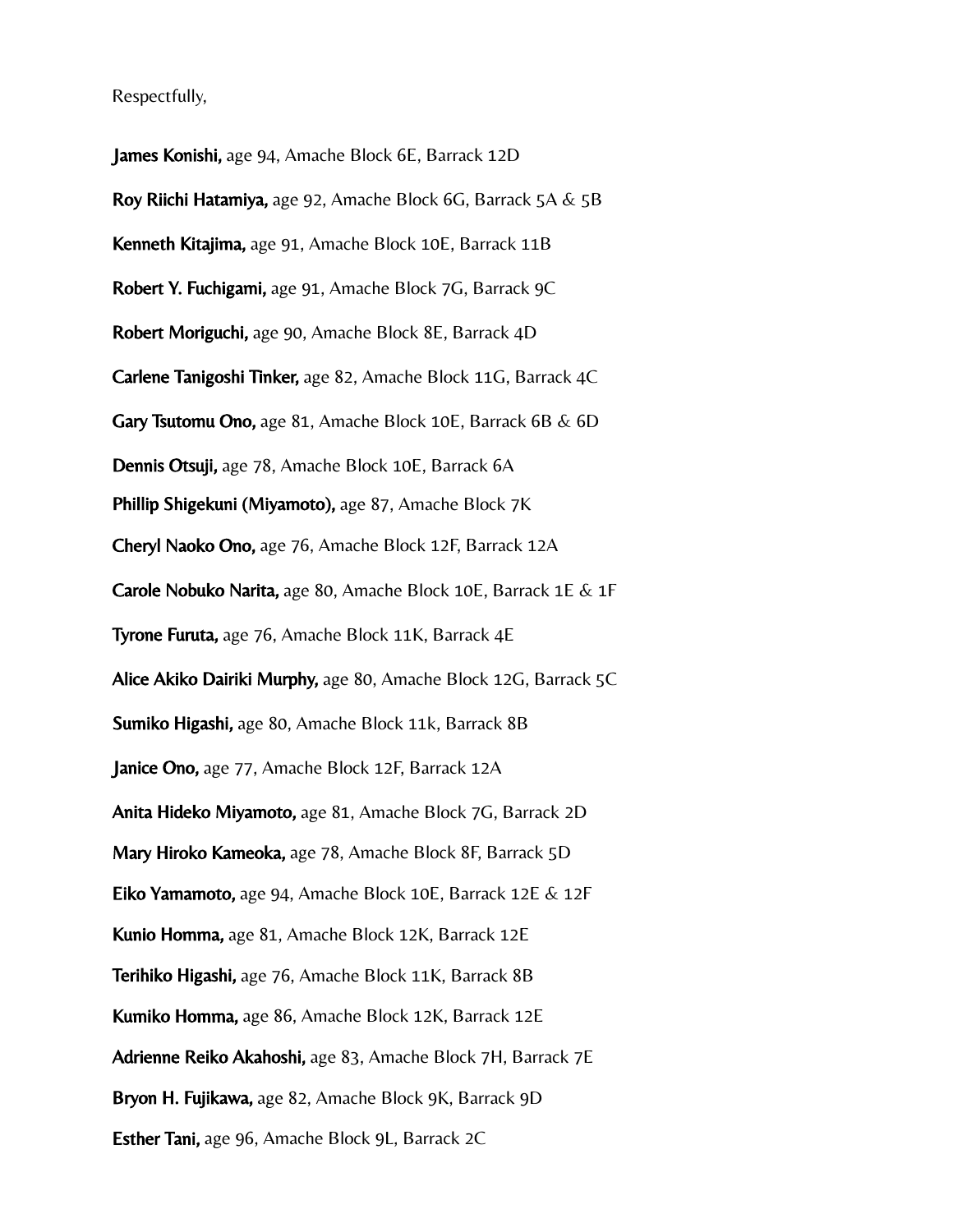Respectfully,

James Konishi, age 94, Amache Block 6E, Barrack 12D Roy Riichi Hatamiya, age 92, Amache Block 6G, Barrack 5A & 5B Kenneth Kitajima, age 91, Amache Block 10E, Barrack 11B Robert Y. Fuchigami, age 91, Amache Block 7G, Barrack 9C Robert Moriguchi, age 90, Amache Block 8E, Barrack 4D Carlene Tanigoshi Tinker, age 82, Amache Block 11G, Barrack 4C Gary Tsutomu Ono, age 81, Amache Block 10E, Barrack 6B & 6D Dennis Otsuji, age 78, Amache Block 10E, Barrack 6A Phillip Shigekuni (Miyamoto), age 87, Amache Block 7K Cheryl Naoko Ono, age 76, Amache Block 12F, Barrack 12A Carole Nobuko Narita, age 80, Amache Block 10E, Barrack 1E & 1F Tyrone Furuta, age 76, Amache Block 11K, Barrack 4E Alice Akiko Dairiki Murphy, age 80, Amache Block 12G, Barrack 5C Sumiko Higashi, age 80, Amache Block 11k, Barrack 8B Janice Ono, age 77, Amache Block 12F, Barrack 12A Anita Hideko Miyamoto, age 81, Amache Block 7G, Barrack 2D Mary Hiroko Kameoka, age 78, Amache Block 8F, Barrack 5D Eiko Yamamoto, age 94, Amache Block 10E, Barrack 12E & 12F Kunio Homma, age 81, Amache Block 12K, Barrack 12E Terihiko Higashi, age 76, Amache Block 11K, Barrack 8B Kumiko Homma, age 86, Amache Block 12K, Barrack 12E Adrienne Reiko Akahoshi, age 83, Amache Block 7H, Barrack 7E Bryon H. Fujikawa, age 82, Amache Block 9K, Barrack 9D Esther Tani, age 96, Amache Block 9L, Barrack 2C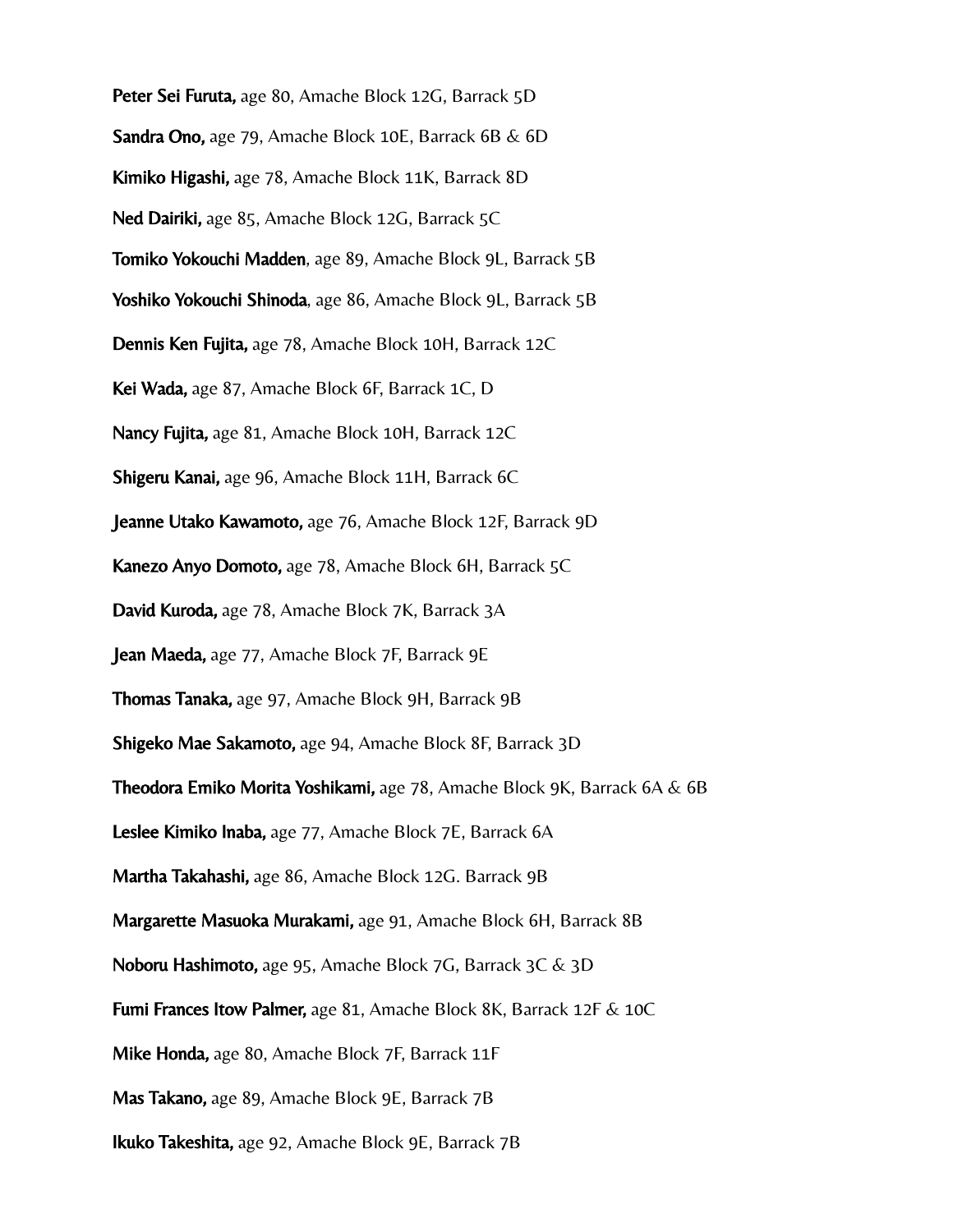Peter Sei Furuta, age 80, Amache Block 12G, Barrack 5D

Sandra Ono, age 79, Amache Block 10E, Barrack 6B & 6D

Kimiko Higashi, age 78, Amache Block 11K, Barrack 8D

Ned Dairiki, age 85, Amache Block 12G, Barrack 5C

Tomiko Yokouchi Madden, age 89, Amache Block 9L, Barrack 5B

Yoshiko Yokouchi Shinoda, age 86, Amache Block 9L, Barrack 5B

Dennis Ken Fujita, age 78, Amache Block 10H, Barrack 12C

Kei Wada, age 87, Amache Block 6F, Barrack 1C, D

Nancy Fujita, age 81, Amache Block 10H, Barrack 12C

Shigeru Kanai, age 96, Amache Block 11H, Barrack 6C

Jeanne Utako Kawamoto, age 76, Amache Block 12F, Barrack 9D

Kanezo Anyo Domoto, age 78, Amache Block 6H, Barrack 5C

David Kuroda, age 78, Amache Block 7K, Barrack 3A

Jean Maeda, age 77, Amache Block 7F, Barrack 9E

Thomas Tanaka, age 97, Amache Block 9H, Barrack 9B

Shigeko Mae Sakamoto, age 94, Amache Block 8F, Barrack 3D

**Theodora Emiko Morita Yoshikami,** age 78, Amache Block 9K, Barrack 6A & 6B

Leslee Kimiko Inaba, age 77, Amache Block 7E, Barrack 6A

Martha Takahashi, age 86, Amache Block 12G. Barrack 9B

Margarette Masuoka Murakami, age 91, Amache Block 6H, Barrack 8B

Noboru Hashimoto, age 95, Amache Block 7G, Barrack 3C & 3D

Fumi Frances Itow Palmer, age 81, Amache Block 8K, Barrack 12F & 10C

Mike Honda, age 80, Amache Block 7F, Barrack 11F

Mas Takano, age 89, Amache Block 9E, Barrack 7B

Ikuko Takeshita, age 92, Amache Block 9E, Barrack 7B